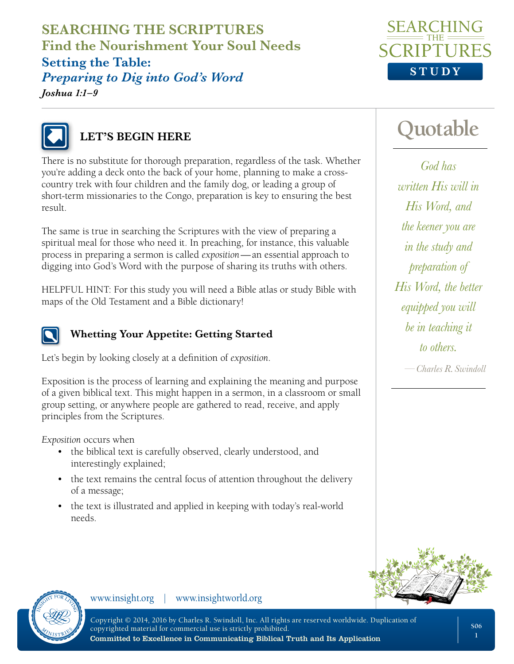**SEARCHING THE SCRIPTURES Find the Nourishment Your Soul Needs Setting the Table:**  *Preparing to Dig into God's Word Joshua 1:1–9*





### **LET'S BEGIN HERE**

There is no substitute for thorough preparation, regardless of the task. Whether you're adding a deck onto the back of your home, planning to make a crosscountry trek with four children and the family dog, or leading a group of short-term missionaries to the Congo, preparation is key to ensuring the best result.

The same is true in searching the Scriptures with the view of preparing a spiritual meal for those who need it. In preaching, for instance, this valuable process in preparing a sermon is called *exposition*—an essential approach to digging into God's Word with the purpose of sharing its truths with others.

HELPFUL HINT: For this study you will need a Bible atlas or study Bible with maps of the Old Testament and a Bible dictionary!



#### **Whetting Your Appetite: Getting Started**

Let's begin by looking closely at a definition of *exposition*.

Exposition is the process of learning and explaining the meaning and purpose of a given biblical text. This might happen in a sermon, in a classroom or small group setting, or anywhere people are gathered to read, receive, and apply principles from the Scriptures.

*Exposition* occurs when

- the biblical text is carefully observed, clearly understood, and interestingly explained;
- the text remains the central focus of attention throughout the delivery of a message;
- the text is illustrated and applied in keeping with today's real-world needs.

**Quotable**

*—Charles R. Swindoll God has written His will in His Word, and the keener you are in the study and preparation of His Word, the better equipped you will be in teaching it to others.*





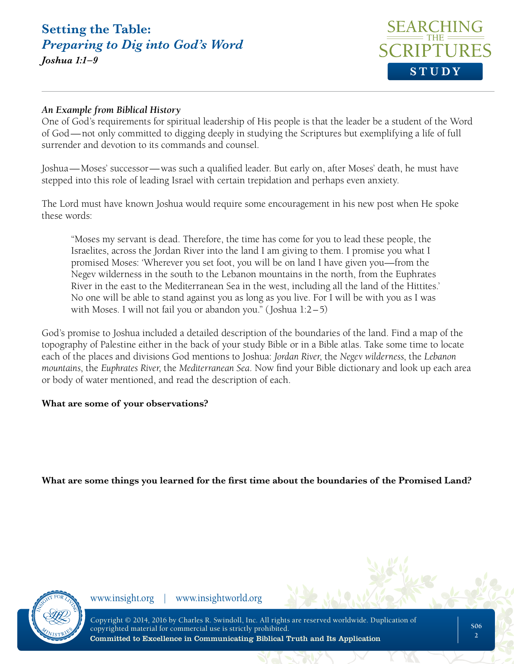*Joshua 1:1–9*



#### *An Example from Biblical History*

One of God's requirements for spiritual leadership of His people is that the leader be a student of the Word of God—not only committed to digging deeply in studying the Scriptures but exemplifying a life of full surrender and devotion to its commands and counsel.

Joshua—Moses' successor—was such a qualified leader. But early on, after Moses' death, he must have stepped into this role of leading Israel with certain trepidation and perhaps even anxiety.

The Lord must have known Joshua would require some encouragement in his new post when He spoke these words:

"Moses my servant is dead. Therefore, the time has come for you to lead these people, the Israelites, across the Jordan River into the land I am giving to them. I promise you what I promised Moses: 'Wherever you set foot, you will be on land I have given you—from the Negev wilderness in the south to the Lebanon mountains in the north, from the Euphrates River in the east to the Mediterranean Sea in the west, including all the land of the Hittites.' No one will be able to stand against you as long as you live. For I will be with you as I was with Moses. I will not fail you or abandon you." (Joshua 1:2–5)

God's promise to Joshua included a detailed description of the boundaries of the land. Find a map of the topography of Palestine either in the back of your study Bible or in a Bible atlas. Take some time to locate each of the places and divisions God mentions to Joshua: *Jordan River*, the *Negev wilderness*, the *Lebanon mountains*, the *Euphrates River*, the *Mediterranean Sea*. Now find your Bible dictionary and look up each area or body of water mentioned, and read the description of each.

#### **What are some of your observations?**

**What are some things you learned for the first time about the boundaries of the Promised Land?** 

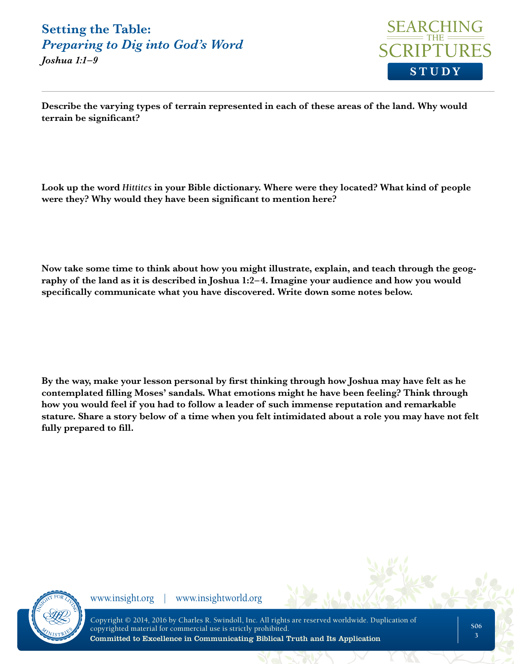*Joshua 1:1–9*



**Describe the varying types of terrain represented in each of these areas of the land. Why would terrain be significant?**

**Look up the word** *Hittites* **in your Bible dictionary. Where were they located? What kind of people were they? Why would they have been significant to mention here?** 

**Now take some time to think about how you might illustrate, explain, and teach through the geography of the land as it is described in Joshua 1:2–4. Imagine your audience and how you would specifically communicate what you have discovered. Write down some notes below.**

**By the way, make your lesson personal by first thinking through how Joshua may have felt as he contemplated filling Moses' sandals. What emotions might he have been feeling? Think through how you would feel if you had to follow a leader of such immense reputation and remarkable stature. Share a story below of a time when you felt intimidated about a role you may have not felt fully prepared to fill.**

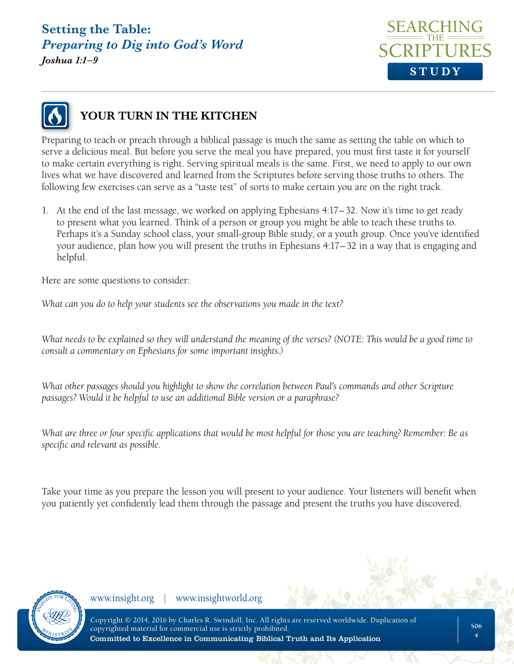*Joshua 1:1–9*





### **YOUR TURN IN THE KITCHEN**

Preparing to teach or preach through a biblical passage is much the same as setting the table on which to serve a delicious meal. But before you serve the meal you have prepared, you must first taste it for yourself to make certain everything is right. Serving spiritual meals is the same. First, we need to apply to our own lives what we have discovered and learned from the Scriptures before serving those truths to others. The following few exercises can serve as a "taste test" of sorts to make certain you are on the right track.

1. At the end of the last message, we worked on applying Ephesians 4:17–32. Now it's time to get ready to present what you learned. Think of a person or group you might be able to teach these truths to. Perhaps it's a Sunday school class, your small-group Bible study, or a youth group. Once you've identified your audience, plan how you will present the truths in Ephesians 4:17–32 in a way that is engaging and helpful.

Here are some questions to consider:

*What can you do to help your students see the observations you made in the text?*

*What needs to be explained so they will understand the meaning of the verses? (NOTE: This would be a good time to consult a commentary on Ephesians for some important insights.)*

*What other passages should you highlight to show the correlation between Paul's commands and other Scripture passages? Would it be helpful to use an additional Bible version or a paraphrase?*

*What are three or four specific applications that would be most helpful for those you are teaching? Remember: Be as specific and relevant as possible.*

Take your time as you prepare the lesson you will present to your audience. Your listeners will benefit when you patiently yet confidently lead them through the passage and present the truths you have discovered.

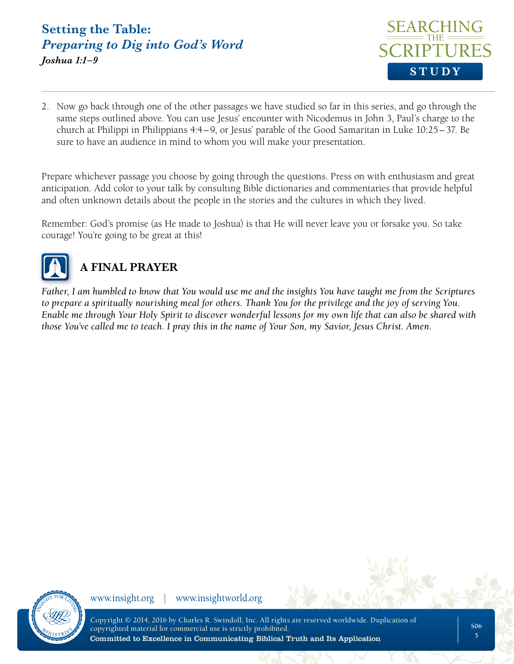

2. Now go back through one of the other passages we have studied so far in this series, and go through the same steps outlined above. You can use Jesus' encounter with Nicodemus in John 3, Paul's charge to the church at Philippi in Philippians 4:4–9, or Jesus' parable of the Good Samaritan in Luke 10:25–37. Be sure to have an audience in mind to whom you will make your presentation.

Prepare whichever passage you choose by going through the questions. Press on with enthusiasm and great anticipation. Add color to your talk by consulting Bible dictionaries and commentaries that provide helpful and often unknown details about the people in the stories and the cultures in which they lived.

Remember: God's promise (as He made to Joshua) is that He will never leave you or forsake you. So take courage! You're going to be great at this!



## **A FINAL PRAYER**

*Father, I am humbled to know that You would use me and the insights You have taught me from the Scriptures to prepare a spiritually nourishing meal for others. Thank You for the privilege and the joy of serving You. Enable me through Your Holy Spirit to discover wonderful lessons for my own life that can also be shared with those You've called me to teach. I pray this in the name of Your Son, my Savior, Jesus Christ. Amen.*